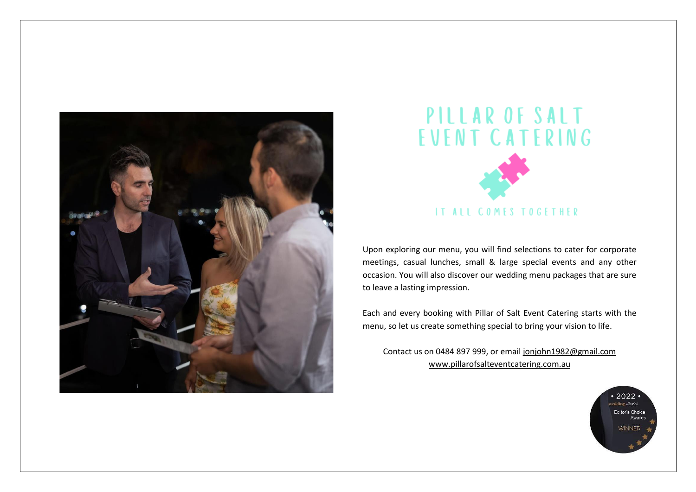



Upon exploring our menu, you will find selections to cater for corporate meetings, casual lunches, small & large special events and any other occasion. You will also discover our wedding menu packages that are sure to leave a lasting impression.

Each and every booking with Pillar of Salt Event Catering starts with the menu, so let us create something special to bring your vision to life.

Contact us on 0484 897 999, or email [jonjohn1982@gmail.com](mailto:jonjohn1982@gmail.com) [www.pillarofsalteventcatering.com.au](http://www.pillarofsalteventcatering.com.au/)

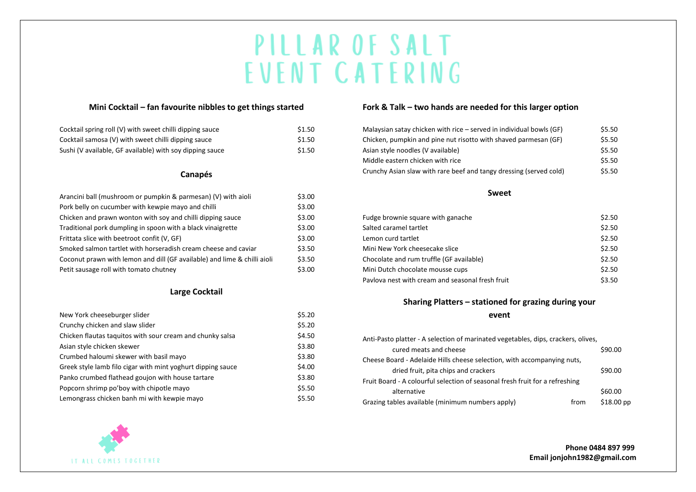### **Mini Cocktail – fan favourite nibbles to get things started**

| Cocktail spring roll (V) with sweet chilli dipping sauce | \$1.50 |
|----------------------------------------------------------|--------|
| Cocktail samosa (V) with sweet chilli dipping sauce      | \$1.50 |
| Sushi (V available, GF available) with soy dipping sauce | \$1.50 |

### **Canapés**

| Arancini ball (mushroom or pumpkin & parmesan) (V) with aioli            | \$3.00 |
|--------------------------------------------------------------------------|--------|
| Pork belly on cucumber with kewpie mayo and chilli                       | \$3.00 |
| Chicken and prawn wonton with soy and chilli dipping sauce               | \$3.00 |
| Traditional pork dumpling in spoon with a black vinaigrette              | \$3.00 |
| Frittata slice with beetroot confit (V, GF)                              | \$3.00 |
| Smoked salmon tartlet with horseradish cream cheese and caviar           | \$3.50 |
| Coconut prawn with lemon and dill (GF available) and lime & chilli aioli | \$3.50 |
| Petit sausage roll with tomato chutney                                   | \$3.00 |

### **Large Cocktail**

| New York cheeseburger slider                                | \$5.20 |
|-------------------------------------------------------------|--------|
| Crunchy chicken and slaw slider                             | \$5.20 |
| Chicken flautas taguitos with sour cream and chunky salsa   | \$4.50 |
| Asian style chicken skewer                                  | \$3.80 |
| Crumbed haloumi skewer with basil mayo                      | \$3.80 |
| Greek style lamb filo cigar with mint yoghurt dipping sauce | \$4.00 |
| Panko crumbed flathead goujon with house tartare            | \$3.80 |
| Popcorn shrimp po'boy with chipotle mayo                    | \$5.50 |
| Lemongrass chicken banh mi with kewpie mayo                 | \$5.50 |



### **Fork & Talk – two hands are needed for this larger option**

| Malaysian satay chicken with rice $-$ served in individual bowls (GF) | \$5.50 |
|-----------------------------------------------------------------------|--------|
| Chicken, pumpkin and pine nut risotto with shaved parmesan (GF)       | \$5.50 |
| Asian style noodles (V available)                                     | \$5.50 |
| Middle eastern chicken with rice                                      | \$5.50 |
| Crunchy Asian slaw with rare beef and tangy dressing (served cold)    | \$5.50 |

#### **Sweet**

| Fudge brownie square with ganache                | \$2.50 |
|--------------------------------------------------|--------|
| Salted caramel tartlet                           | \$2.50 |
| Lemon curd tartlet                               | \$2.50 |
| Mini New York cheesecake slice                   | \$2.50 |
| Chocolate and rum truffle (GF available)         | \$2.50 |
| Mini Dutch chocolate mousse cups                 | \$2.50 |
| Pavlova nest with cream and seasonal fresh fruit | \$3.50 |

# **Sharing Platters – stationed for grazing during your event**

| Anti-Pasto platter - A selection of marinated vegetables, dips, crackers, olives, |      |                    |
|-----------------------------------------------------------------------------------|------|--------------------|
| cured meats and cheese                                                            |      | \$90.00            |
| Cheese Board - Adelaide Hills cheese selection, with accompanying nuts,           |      |                    |
| dried fruit, pita chips and crackers                                              |      | \$90.00            |
| Fruit Board - A colourful selection of seasonal fresh fruit for a refreshing      |      |                    |
| alternative                                                                       |      | \$60.00            |
| Grazing tables available (minimum numbers apply)                                  | from | $$18.00~\text{pp}$ |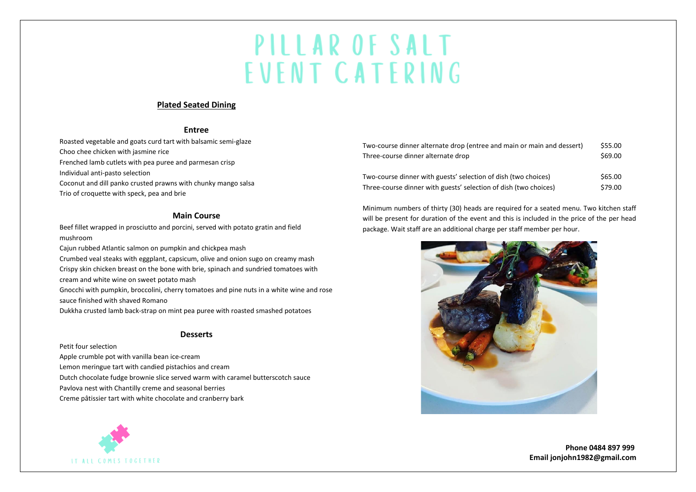### **Plated Seated Dining**

#### **Entree**

Roasted vegetable and goats curd tart with balsamic semi-glaze Choo chee chicken with jasmine rice Frenched lamb cutlets with pea puree and parmesan crisp Individual anti-pasto selection Coconut and dill panko crusted prawns with chunky mango salsa Trio of croquette with speck, pea and brie

### **Main Course**

Beef fillet wrapped in prosciutto and porcini, served with potato gratin and field mushroom

Cajun rubbed Atlantic salmon on pumpkin and chickpea mash Crumbed veal steaks with eggplant, capsicum, olive and onion sugo on creamy mash Crispy skin chicken breast on the bone with brie, spinach and sundried tomatoes with cream and white wine on sweet potato mash

Gnocchi with pumpkin, broccolini, cherry tomatoes and pine nuts in a white wine and rose sauce finished with shaved Romano

Dukkha crusted lamb back-strap on mint pea puree with roasted smashed potatoes

### **Desserts**

Petit four selection Apple crumble pot with vanilla bean ice-cream Lemon meringue tart with candied pistachios and cream Dutch chocolate fudge brownie slice served warm with caramel butterscotch sauce Pavlova nest with Chantilly creme and seasonal berries Creme pâtissier tart with white chocolate and cranberry bark



Minimum numbers of thirty (30) heads are required for a seated menu. Two kitchen staff will be present for duration of the event and this is included in the price of the per head package. Wait staff are an additional charge per staff member per hour.



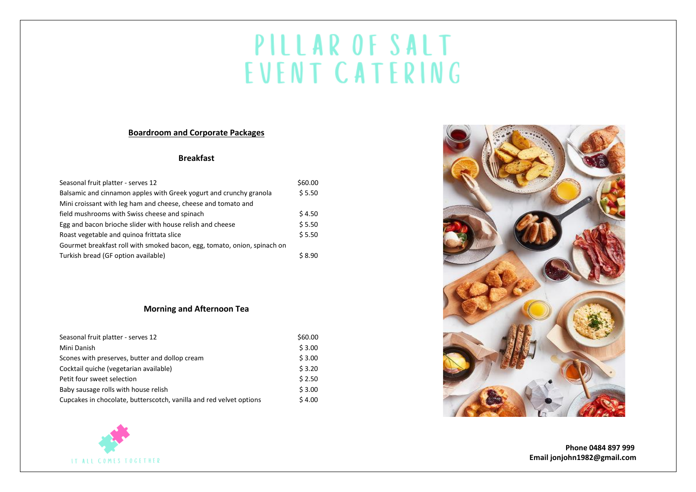# **Boardroom and Corporate Packages**

# **Breakfast**

| Seasonal fruit platter - serves 12                                       | \$60.00 |
|--------------------------------------------------------------------------|---------|
| Balsamic and cinnamon apples with Greek yogurt and crunchy granola       | \$5.50  |
| Mini croissant with leg ham and cheese, cheese and tomato and            |         |
| field mushrooms with Swiss cheese and spinach                            | \$4.50  |
| Egg and bacon brioche slider with house relish and cheese                | \$5.50  |
| Roast vegetable and quinoa frittata slice                                | \$5.50  |
| Gourmet breakfast roll with smoked bacon, egg, tomato, onion, spinach on |         |
| Turkish bread (GF option available)                                      | \$8.90  |

## **Morning and Afternoon Tea**

| Seasonal fruit platter - serves 12                                  | \$60.00 |
|---------------------------------------------------------------------|---------|
| Mini Danish                                                         | \$3.00  |
| Scones with preserves, butter and dollop cream                      | \$3.00  |
| Cocktail quiche (vegetarian available)                              | \$3.20  |
| Petit four sweet selection                                          | \$2.50  |
| Baby sausage rolls with house relish                                | \$3.00  |
| Cupcakes in chocolate, butterscotch, vanilla and red velvet options | \$4.00  |



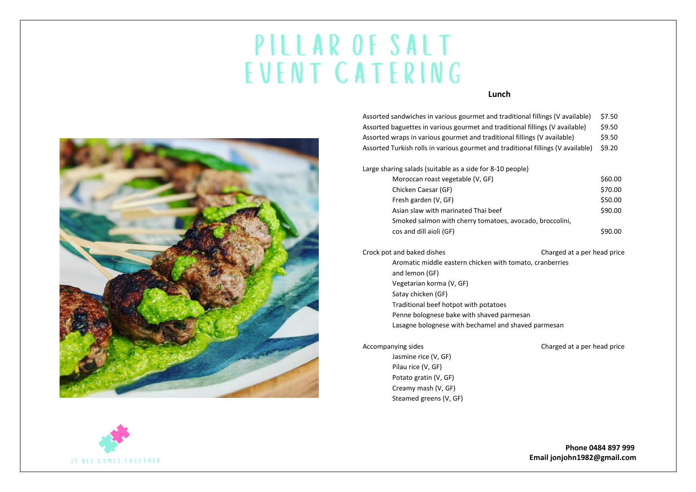#### **Lunch**



| \$7.50 |
|--------|
| \$9.50 |
| \$9.50 |
| \$9.20 |
|        |

Large sharing salads (suitable as a side for 8-10 people)

| Chicken Caesar (GF)<br>Fresh garden (V, GF)<br>Asian slaw with marinated Thai beef<br>Smoked salmon with cherry tomatoes, avocado, broccolini,<br>cos and dill aioli (GF) | \$60.00 |
|---------------------------------------------------------------------------------------------------------------------------------------------------------------------------|---------|
|                                                                                                                                                                           | \$70.00 |
|                                                                                                                                                                           | \$50.00 |
|                                                                                                                                                                           | \$90.00 |
|                                                                                                                                                                           |         |
|                                                                                                                                                                           | \$90.00 |

Crock pot and baked dishes Charged at a per head price Aromatic middle eastern chicken with tomato, cranberries and lemon (GF) Vegetarian korma (V, GF) Satay chicken (GF) Traditional beef hotpot with potatoes Penne bolognese bake with shaved parmesan Lasagne bolognese with bechamel and shaved parmesan

Jasmine rice (V, GF) Pilau rice (V, GF) Potato gratin (V, GF) Creamy mash (V, GF) Steamed greens (V, GF)

#### Accompanying sides **Charged** at a per head price

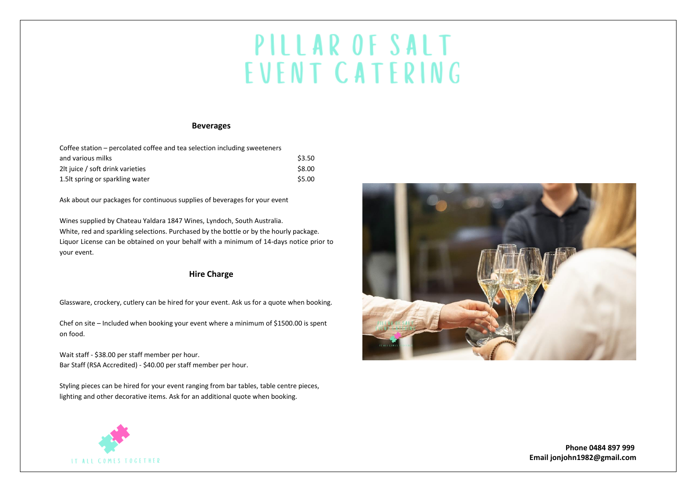#### **Beverages**

| Coffee station – percolated coffee and tea selection including sweeteners |        |
|---------------------------------------------------------------------------|--------|
| and various milks                                                         | \$3.50 |
| 2It juice / soft drink varieties                                          | \$8.00 |
| 1.5 t spring or sparkling water                                           | \$5.00 |

Ask about our packages for continuous supplies of beverages for your event

Wines supplied by Chateau Yaldara 1847 Wines, Lyndoch, South Australia. White, red and sparkling selections. Purchased by the bottle or by the hourly package. Liquor License can be obtained on your behalf with a minimum of 14-days notice prior to your event.

#### **Hire Charge**

Glassware, crockery, cutlery can be hired for your event. Ask us for a quote when booking.

Chef on site – Included when booking your event where a minimum of \$1500.00 is spent on food.

Wait staff - \$38.00 per staff member per hour. Bar Staff (RSA Accredited) - \$40.00 per staff member per hour.

Styling pieces can be hired for your event ranging from bar tables, table centre pieces, lighting and other decorative items. Ask for an additional quote when booking.